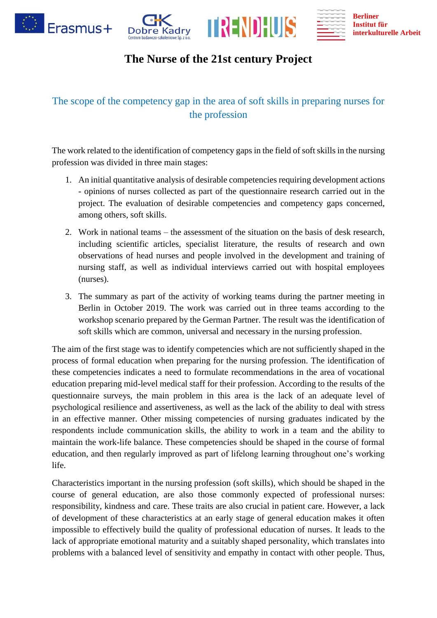

## **The Nurse of the 21st century Project**

## The scope of the competency gap in the area of soft skills in preparing nurses for the profession

The work related to the identification of competency gaps in the field of soft skills in the nursing profession was divided in three main stages:

- 1. An initial quantitative analysis of desirable competencies requiring development actions - opinions of nurses collected as part of the questionnaire research carried out in the project. The evaluation of desirable competencies and competency gaps concerned, among others, soft skills.
- 2. Work in national teams the assessment of the situation on the basis of desk research, including scientific articles, specialist literature, the results of research and own observations of head nurses and people involved in the development and training of nursing staff, as well as individual interviews carried out with hospital employees (nurses).
- 3. The summary as part of the activity of working teams during the partner meeting in Berlin in October 2019. The work was carried out in three teams according to the workshop scenario prepared by the German Partner. The result was the identification of soft skills which are common, universal and necessary in the nursing profession.

The aim of the first stage was to identify competencies which are not sufficiently shaped in the process of formal education when preparing for the nursing profession. The identification of these competencies indicates a need to formulate recommendations in the area of vocational education preparing mid-level medical staff for their profession. According to the results of the questionnaire surveys, the main problem in this area is the lack of an adequate level of psychological resilience and assertiveness, as well as the lack of the ability to deal with stress in an effective manner. Other missing competencies of nursing graduates indicated by the respondents include communication skills, the ability to work in a team and the ability to maintain the work-life balance. These competencies should be shaped in the course of formal education, and then regularly improved as part of lifelong learning throughout one's working life.

Characteristics important in the nursing profession (soft skills), which should be shaped in the course of general education, are also those commonly expected of professional nurses: responsibility, kindness and care. These traits are also crucial in patient care. However, a lack of development of these characteristics at an early stage of general education makes it often impossible to effectively build the quality of professional education of nurses. It leads to the lack of appropriate emotional maturity and a suitably shaped personality, which translates into problems with a balanced level of sensitivity and empathy in contact with other people. Thus,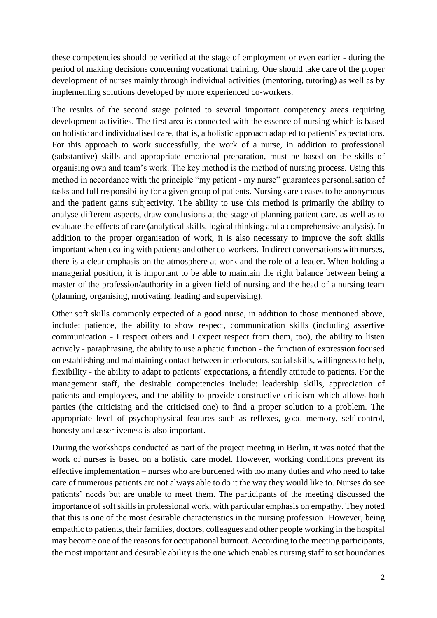these competencies should be verified at the stage of employment or even earlier - during the period of making decisions concerning vocational training. One should take care of the proper development of nurses mainly through individual activities (mentoring, tutoring) as well as by implementing solutions developed by more experienced co-workers.

The results of the second stage pointed to several important competency areas requiring development activities. The first area is connected with the essence of nursing which is based on holistic and individualised care, that is, a holistic approach adapted to patients' expectations. For this approach to work successfully, the work of a nurse, in addition to professional (substantive) skills and appropriate emotional preparation, must be based on the skills of organising own and team's work. The key method is the method of nursing process. Using this method in accordance with the principle "my patient - my nurse" guarantees personalisation of tasks and full responsibility for a given group of patients. Nursing care ceases to be anonymous and the patient gains subjectivity. The ability to use this method is primarily the ability to analyse different aspects, draw conclusions at the stage of planning patient care, as well as to evaluate the effects of care (analytical skills, logical thinking and a comprehensive analysis). In addition to the proper organisation of work, it is also necessary to improve the soft skills important when dealing with patients and other co-workers. In direct conversations with nurses, there is a clear emphasis on the atmosphere at work and the role of a leader. When holding a managerial position, it is important to be able to maintain the right balance between being a master of the profession/authority in a given field of nursing and the head of a nursing team (planning, organising, motivating, leading and supervising).

Other soft skills commonly expected of a good nurse, in addition to those mentioned above, include: patience, the ability to show respect, communication skills (including assertive communication - I respect others and I expect respect from them, too), the ability to listen actively - paraphrasing, the ability to use a phatic function - the function of expression focused on establishing and maintaining contact between interlocutors, social skills, willingness to help, flexibility - the ability to adapt to patients' expectations, a friendly attitude to patients. For the management staff, the desirable competencies include: leadership skills, appreciation of patients and employees, and the ability to provide constructive criticism which allows both parties (the criticising and the criticised one) to find a proper solution to a problem. The appropriate level of psychophysical features such as reflexes, good memory, self-control, honesty and assertiveness is also important.

During the workshops conducted as part of the project meeting in Berlin, it was noted that the work of nurses is based on a holistic care model. However, working conditions prevent its effective implementation – nurses who are burdened with too many duties and who need to take care of numerous patients are not always able to do it the way they would like to. Nurses do see patients' needs but are unable to meet them. The participants of the meeting discussed the importance of soft skills in professional work, with particular emphasis on empathy. They noted that this is one of the most desirable characteristics in the nursing profession. However, being empathic to patients, their families, doctors, colleagues and other people working in the hospital may become one of the reasons for occupational burnout. According to the meeting participants, the most important and desirable ability is the one which enables nursing staff to set boundaries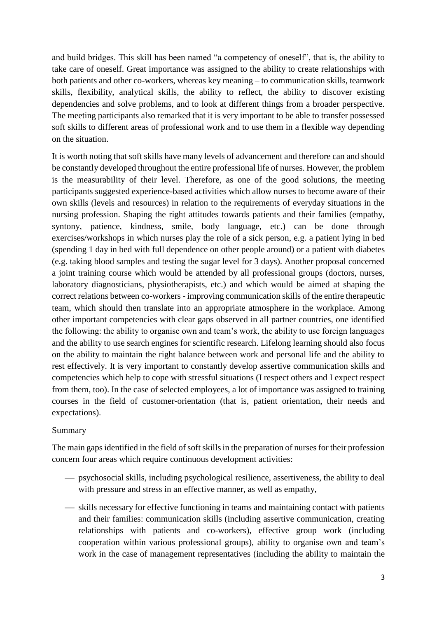and build bridges. This skill has been named "a competency of oneself", that is, the ability to take care of oneself. Great importance was assigned to the ability to create relationships with both patients and other co-workers, whereas key meaning – to communication skills, teamwork skills, flexibility, analytical skills, the ability to reflect, the ability to discover existing dependencies and solve problems, and to look at different things from a broader perspective. The meeting participants also remarked that it is very important to be able to transfer possessed soft skills to different areas of professional work and to use them in a flexible way depending on the situation.

It is worth noting that soft skills have many levels of advancement and therefore can and should be constantly developed throughout the entire professional life of nurses. However, the problem is the measurability of their level. Therefore, as one of the good solutions, the meeting participants suggested experience-based activities which allow nurses to become aware of their own skills (levels and resources) in relation to the requirements of everyday situations in the nursing profession. Shaping the right attitudes towards patients and their families (empathy, syntony, patience, kindness, smile, body language, etc.) can be done through exercises/workshops in which nurses play the role of a sick person, e.g. a patient lying in bed (spending 1 day in bed with full dependence on other people around) or a patient with diabetes (e.g. taking blood samples and testing the sugar level for 3 days). Another proposal concerned a joint training course which would be attended by all professional groups (doctors, nurses, laboratory diagnosticians, physiotherapists, etc.) and which would be aimed at shaping the correct relations between co-workers - improving communication skills of the entire therapeutic team, which should then translate into an appropriate atmosphere in the workplace. Among other important competencies with clear gaps observed in all partner countries, one identified the following: the ability to organise own and team's work, the ability to use foreign languages and the ability to use search engines for scientific research. Lifelong learning should also focus on the ability to maintain the right balance between work and personal life and the ability to rest effectively. It is very important to constantly develop assertive communication skills and competencies which help to cope with stressful situations (I respect others and I expect respect from them, too). In the case of selected employees, a lot of importance was assigned to training courses in the field of customer-orientation (that is, patient orientation, their needs and expectations).

## Summary

The main gaps identified in the field of soft skills in the preparation of nurses for their profession concern four areas which require continuous development activities:

- ⎯ psychosocial skills, including psychological resilience, assertiveness, the ability to deal with pressure and stress in an effective manner, as well as empathy,
- ⎯ skills necessary for effective functioning in teams and maintaining contact with patients and their families: communication skills (including assertive communication, creating relationships with patients and co-workers), effective group work (including cooperation within various professional groups), ability to organise own and team's work in the case of management representatives (including the ability to maintain the